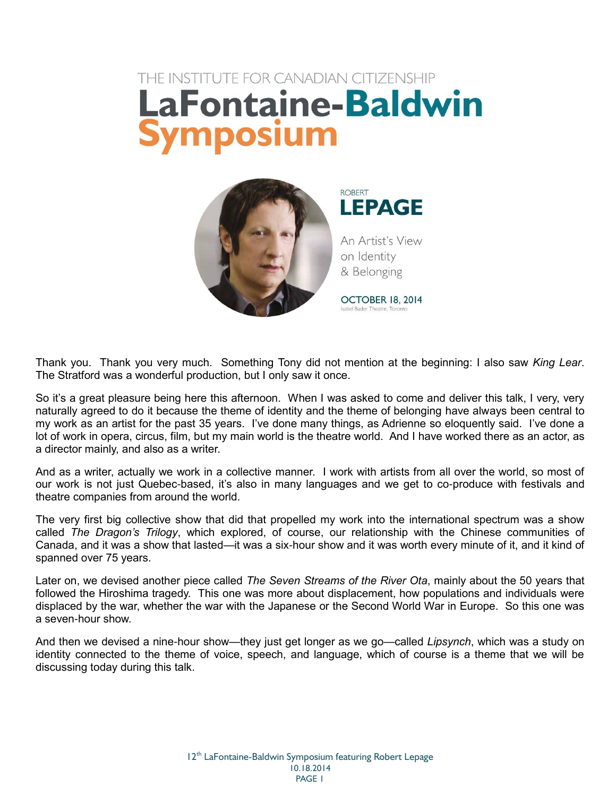## THE INSTITUTE FOR CANADIAN CITIZENSHIP **LaFontaine-Baldwin** Symposium



**ROBERT LEPAGE** 

An Artist's View on Identity & Belonging

OCTOBER 18, 2014 Isabel Bader Theatre, Toronto

Thank you. Thank you very much. Something Tony did not mention at the beginning: I also saw *King Lear*. The Stratford was a wonderful production, but I only saw it once.

So it's a great pleasure being here this afternoon. When I was asked to come and deliver this talk, I very, very naturally agreed to do it because the theme of identity and the theme of belonging have always been central to my work as an artist for the past 35 years. I've done many things, as Adrienne so eloquently said. I've done a lot of work in opera, circus, film, but my main world is the theatre world. And I have worked there as an actor, as a director mainly, and also as a writer.

And as a writer, actually we work in a collective manner. I work with artists from all over the world, so most of our work is not just Quebec-based, it's also in many languages and we get to co-produce with festivals and theatre companies from around the world.

The very first big collective show that did that propelled my work into the international spectrum was a show called *The Dragon's Trilogy*, which explored, of course, our relationship with the Chinese communities of Canada, and it was a show that lasted—it was a six-hour show and it was worth every minute of it, and it kind of spanned over 75 years.

Later on, we devised another piece called *The Seven Streams of the River Ota*, mainly about the 50 years that followed the Hiroshima tragedy. This one was more about displacement, how populations and individuals were displaced by the war, whether the war with the Japanese or the Second World War in Europe. So this one was a seven-hour show.

And then we devised a nine-hour show—they just get longer as we go—called *Lipsynch*, which was a study on identity connected to the theme of voice, speech, and language, which of course is a theme that we will be discussing today during this talk.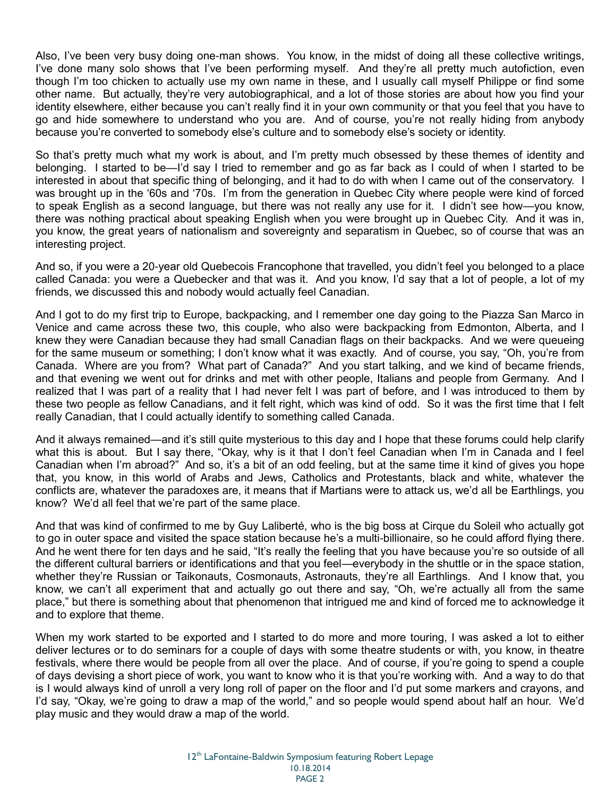Also, I've been very busy doing one-man shows. You know, in the midst of doing all these collective writings, I've done many solo shows that I've been performing myself. And they're all pretty much autofiction, even though I'm too chicken to actually use my own name in these, and I usually call myself Philippe or find some other name. But actually, they're very autobiographical, and a lot of those stories are about how you find your identity elsewhere, either because you can't really find it in your own community or that you feel that you have to go and hide somewhere to understand who you are. And of course, you're not really hiding from anybody because you're converted to somebody else's culture and to somebody else's society or identity.

So that's pretty much what my work is about, and I'm pretty much obsessed by these themes of identity and belonging. I started to be—I'd say I tried to remember and go as far back as I could of when I started to be interested in about that specific thing of belonging, and it had to do with when I came out of the conservatory. I was brought up in the '60s and '70s. I'm from the generation in Quebec City where people were kind of forced to speak English as a second language, but there was not really any use for it. I didn't see how—you know, there was nothing practical about speaking English when you were brought up in Quebec City. And it was in, you know, the great years of nationalism and sovereignty and separatism in Quebec, so of course that was an interesting project.

And so, if you were a 20-year old Quebecois Francophone that travelled, you didn't feel you belonged to a place called Canada: you were a Quebecker and that was it. And you know, I'd say that a lot of people, a lot of my friends, we discussed this and nobody would actually feel Canadian.

And I got to do my first trip to Europe, backpacking, and I remember one day going to the Piazza San Marco in Venice and came across these two, this couple, who also were backpacking from Edmonton, Alberta, and I knew they were Canadian because they had small Canadian flags on their backpacks. And we were queueing for the same museum or something; I don't know what it was exactly. And of course, you say, "Oh, you're from Canada. Where are you from? What part of Canada?" And you start talking, and we kind of became friends, and that evening we went out for drinks and met with other people, Italians and people from Germany. And I realized that I was part of a reality that I had never felt I was part of before, and I was introduced to them by these two people as fellow Canadians, and it felt right, which was kind of odd. So it was the first time that I felt really Canadian, that I could actually identify to something called Canada.

And it always remained—and it's still quite mysterious to this day and I hope that these forums could help clarify what this is about. But I say there, "Okay, why is it that I don't feel Canadian when I'm in Canada and I feel Canadian when I'm abroad?" And so, it's a bit of an odd feeling, but at the same time it kind of gives you hope that, you know, in this world of Arabs and Jews, Catholics and Protestants, black and white, whatever the conflicts are, whatever the paradoxes are, it means that if Martians were to attack us, we'd all be Earthlings, you know? We'd all feel that we're part of the same place.

And that was kind of confirmed to me by Guy Laliberté, who is the big boss at Cirque du Soleil who actually got to go in outer space and visited the space station because he's a multi-billionaire, so he could afford flying there. And he went there for ten days and he said, "It's really the feeling that you have because you're so outside of all the different cultural barriers or identifications and that you feel—everybody in the shuttle or in the space station, whether they're Russian or Taikonauts, Cosmonauts, Astronauts, they're all Earthlings. And I know that, you know, we can't all experiment that and actually go out there and say, "Oh, we're actually all from the same place," but there is something about that phenomenon that intrigued me and kind of forced me to acknowledge it and to explore that theme.

When my work started to be exported and I started to do more and more touring, I was asked a lot to either deliver lectures or to do seminars for a couple of days with some theatre students or with, you know, in theatre festivals, where there would be people from all over the place. And of course, if you're going to spend a couple of days devising a short piece of work, you want to know who it is that you're working with. And a way to do that is I would always kind of unroll a very long roll of paper on the floor and I'd put some markers and crayons, and I'd say, "Okay, we're going to draw a map of the world," and so people would spend about half an hour. We'd play music and they would draw a map of the world.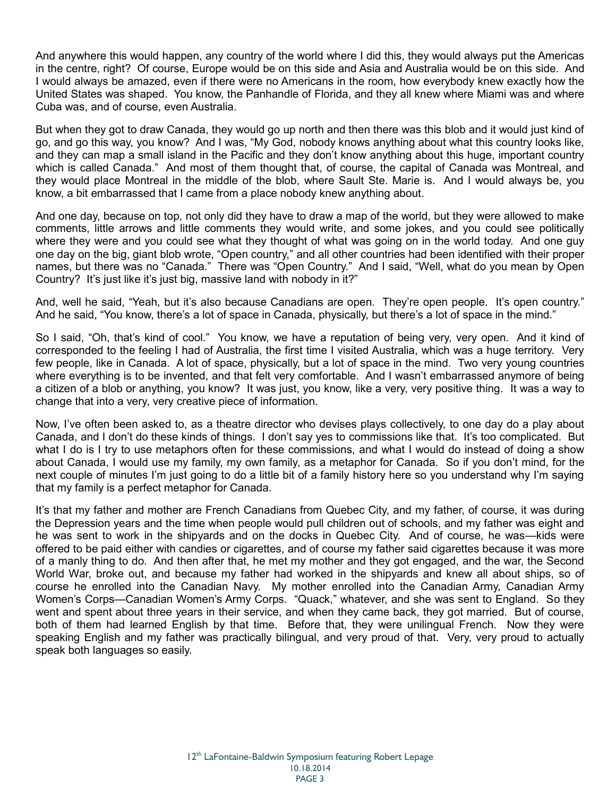And anywhere this would happen, any country of the world where I did this, they would always put the Americas in the centre, right? Of course, Europe would be on this side and Asia and Australia would be on this side. And I would always be amazed, even if there were no Americans in the room, how everybody knew exactly how the United States was shaped. You know, the Panhandle of Florida, and they all knew where Miami was and where Cuba was, and of course, even Australia.

But when they got to draw Canada, they would go up north and then there was this blob and it would just kind of go, and go this way, you know? And I was, "My God, nobody knows anything about what this country looks like, and they can map a small island in the Pacific and they don't know anything about this huge, important country which is called Canada." And most of them thought that, of course, the capital of Canada was Montreal, and they would place Montreal in the middle of the blob, where Sault Ste. Marie is. And I would always be, you know, a bit embarrassed that I came from a place nobody knew anything about.

And one day, because on top, not only did they have to draw a map of the world, but they were allowed to make comments, little arrows and little comments they would write, and some jokes, and you could see politically where they were and you could see what they thought of what was going on in the world today. And one guy one day on the big, giant blob wrote, "Open country," and all other countries had been identified with their proper names, but there was no "Canada." There was "Open Country." And I said, "Well, what do you mean by Open Country? It's just like it's just big, massive land with nobody in it?"

And, well he said, "Yeah, but it's also because Canadians are open. They're open people. It's open country." And he said, "You know, there's a lot of space in Canada, physically, but there's a lot of space in the mind."

So I said, "Oh, that's kind of cool." You know, we have a reputation of being very, very open. And it kind of corresponded to the feeling I had of Australia, the first time I visited Australia, which was a huge territory. Very few people, like in Canada. A lot of space, physically, but a lot of space in the mind. Two very young countries where everything is to be invented, and that felt very comfortable. And I wasn't embarrassed anymore of being a citizen of a blob or anything, you know? It was just, you know, like a very, very positive thing. It was a way to change that into a very, very creative piece of information.

Now, I've often been asked to, as a theatre director who devises plays collectively, to one day do a play about Canada, and I don't do these kinds of things. I don't say yes to commissions like that. It's too complicated. But what I do is I try to use metaphors often for these commissions, and what I would do instead of doing a show about Canada, I would use my family, my own family, as a metaphor for Canada. So if you don't mind, for the next couple of minutes I'm just going to do a little bit of a family history here so you understand why I'm saying that my family is a perfect metaphor for Canada.

It's that my father and mother are French Canadians from Quebec City, and my father, of course, it was during the Depression years and the time when people would pull children out of schools, and my father was eight and he was sent to work in the shipyards and on the docks in Quebec City. And of course, he was—kids were offered to be paid either with candies or cigarettes, and of course my father said cigarettes because it was more of a manly thing to do. And then after that, he met my mother and they got engaged, and the war, the Second World War, broke out, and because my father had worked in the shipyards and knew all about ships, so of course he enrolled into the Canadian Navy. My mother enrolled into the Canadian Army, Canadian Army Women's Corps—Canadian Women's Army Corps. "Quack," whatever, and she was sent to England. So they went and spent about three years in their service, and when they came back, they got married. But of course, both of them had learned English by that time. Before that, they were unilingual French. Now they were speaking English and my father was practically bilingual, and very proud of that. Very, very proud to actually speak both languages so easily.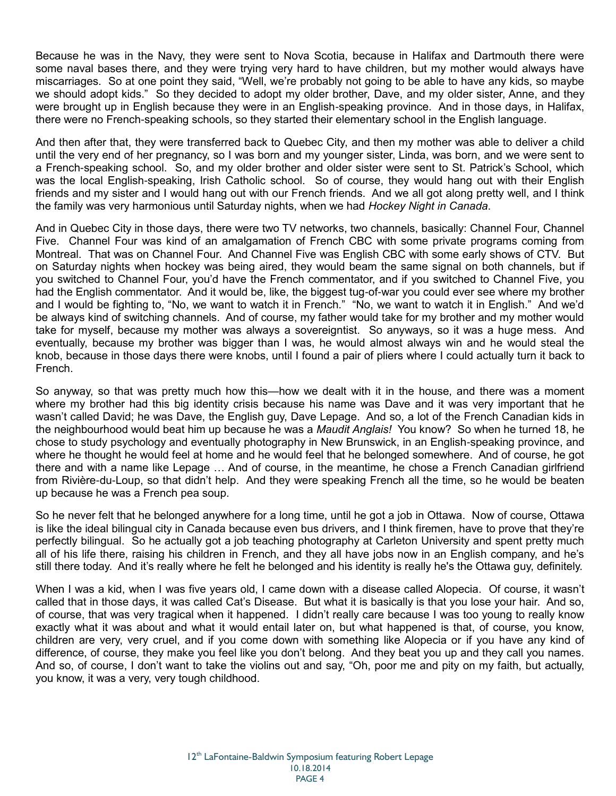Because he was in the Navy, they were sent to Nova Scotia, because in Halifax and Dartmouth there were some naval bases there, and they were trying very hard to have children, but my mother would always have miscarriages. So at one point they said, "Well, we're probably not going to be able to have any kids, so maybe we should adopt kids." So they decided to adopt my older brother, Dave, and my older sister, Anne, and they were brought up in English because they were in an English-speaking province. And in those days, in Halifax, there were no French-speaking schools, so they started their elementary school in the English language.

And then after that, they were transferred back to Quebec City, and then my mother was able to deliver a child until the very end of her pregnancy, so I was born and my younger sister, Linda, was born, and we were sent to a French-speaking school. So, and my older brother and older sister were sent to St. Patrick's School, which was the local English-speaking, Irish Catholic school. So of course, they would hang out with their English friends and my sister and I would hang out with our French friends. And we all got along pretty well, and I think the family was very harmonious until Saturday nights, when we had *Hockey Night in Canada*.

And in Quebec City in those days, there were two TV networks, two channels, basically: Channel Four, Channel Five. Channel Four was kind of an amalgamation of French CBC with some private programs coming from Montreal. That was on Channel Four. And Channel Five was English CBC with some early shows of CTV. But on Saturday nights when hockey was being aired, they would beam the same signal on both channels, but if you switched to Channel Four, you'd have the French commentator, and if you switched to Channel Five, you had the English commentator. And it would be, like, the biggest tug-of-war you could ever see where my brother and I would be fighting to, "No, we want to watch it in French." "No, we want to watch it in English." And we'd be always kind of switching channels. And of course, my father would take for my brother and my mother would take for myself, because my mother was always a sovereigntist. So anyways, so it was a huge mess. And eventually, because my brother was bigger than I was, he would almost always win and he would steal the knob, because in those days there were knobs, until I found a pair of pliers where I could actually turn it back to French.

So anyway, so that was pretty much how this—how we dealt with it in the house, and there was a moment where my brother had this big identity crisis because his name was Dave and it was very important that he wasn't called David; he was Dave, the English guy, Dave Lepage. And so, a lot of the French Canadian kids in the neighbourhood would beat him up because he was a *Maudit Anglais!* You know? So when he turned 18, he chose to study psychology and eventually photography in New Brunswick, in an English-speaking province, and where he thought he would feel at home and he would feel that he belonged somewhere. And of course, he got there and with a name like Lepage … And of course, in the meantime, he chose a French Canadian girlfriend from Rivière-du-Loup, so that didn't help. And they were speaking French all the time, so he would be beaten up because he was a French pea soup.

So he never felt that he belonged anywhere for a long time, until he got a job in Ottawa. Now of course, Ottawa is like the ideal bilingual city in Canada because even bus drivers, and I think firemen, have to prove that they're perfectly bilingual. So he actually got a job teaching photography at Carleton University and spent pretty much all of his life there, raising his children in French, and they all have jobs now in an English company, and he's still there today. And it's really where he felt he belonged and his identity is really he's the Ottawa guy, definitely.

When I was a kid, when I was five years old, I came down with a disease called Alopecia. Of course, it wasn't called that in those days, it was called Cat's Disease. But what it is basically is that you lose your hair. And so, of course, that was very tragical when it happened. I didn't really care because I was too young to really know exactly what it was about and what it would entail later on, but what happened is that, of course, you know, children are very, very cruel, and if you come down with something like Alopecia or if you have any kind of difference, of course, they make you feel like you don't belong. And they beat you up and they call you names. And so, of course, I don't want to take the violins out and say, "Oh, poor me and pity on my faith, but actually, you know, it was a very, very tough childhood.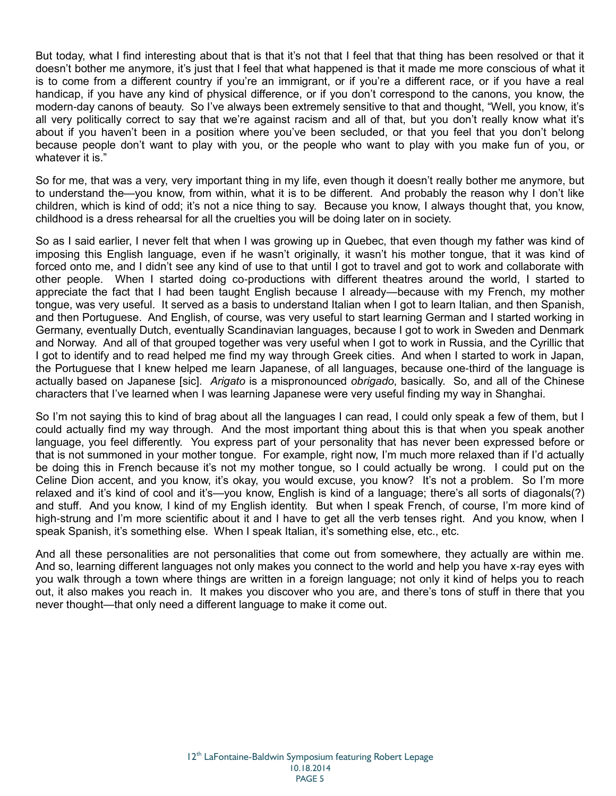But today, what I find interesting about that is that it's not that I feel that that thing has been resolved or that it doesn't bother me anymore, it's just that I feel that what happened is that it made me more conscious of what it is to come from a different country if you're an immigrant, or if you're a different race, or if you have a real handicap, if you have any kind of physical difference, or if you don't correspond to the canons, you know, the modern-day canons of beauty. So I've always been extremely sensitive to that and thought, "Well, you know, it's all very politically correct to say that we're against racism and all of that, but you don't really know what it's about if you haven't been in a position where you've been secluded, or that you feel that you don't belong because people don't want to play with you, or the people who want to play with you make fun of you, or whatever it is."

So for me, that was a very, very important thing in my life, even though it doesn't really bother me anymore, but to understand the—you know, from within, what it is to be different. And probably the reason why I don't like children, which is kind of odd; it's not a nice thing to say. Because you know, I always thought that, you know, childhood is a dress rehearsal for all the cruelties you will be doing later on in society.

So as I said earlier, I never felt that when I was growing up in Quebec, that even though my father was kind of imposing this English language, even if he wasn't originally, it wasn't his mother tongue, that it was kind of forced onto me, and I didn't see any kind of use to that until I got to travel and got to work and collaborate with other people. When I started doing co-productions with different theatres around the world, I started to appreciate the fact that I had been taught English because I already—because with my French, my mother tongue, was very useful. It served as a basis to understand Italian when I got to learn Italian, and then Spanish, and then Portuguese. And English, of course, was very useful to start learning German and I started working in Germany, eventually Dutch, eventually Scandinavian languages, because I got to work in Sweden and Denmark and Norway. And all of that grouped together was very useful when I got to work in Russia, and the Cyrillic that I got to identify and to read helped me find my way through Greek cities. And when I started to work in Japan, the Portuguese that I knew helped me learn Japanese, of all languages, because one-third of the language is actually based on Japanese [sic]. *Arigato* is a mispronounced *obrigado*, basically. So, and all of the Chinese characters that I've learned when I was learning Japanese were very useful finding my way in Shanghai.

So I'm not saying this to kind of brag about all the languages I can read, I could only speak a few of them, but I could actually find my way through. And the most important thing about this is that when you speak another language, you feel differently. You express part of your personality that has never been expressed before or that is not summoned in your mother tongue. For example, right now, I'm much more relaxed than if I'd actually be doing this in French because it's not my mother tongue, so I could actually be wrong. I could put on the Celine Dion accent, and you know, it's okay, you would excuse, you know? It's not a problem. So I'm more relaxed and it's kind of cool and it's—you know, English is kind of a language; there's all sorts of diagonals(?) and stuff. And you know, I kind of my English identity. But when I speak French, of course, I'm more kind of high-strung and I'm more scientific about it and I have to get all the verb tenses right. And you know, when I speak Spanish, it's something else. When I speak Italian, it's something else, etc., etc.

And all these personalities are not personalities that come out from somewhere, they actually are within me. And so, learning different languages not only makes you connect to the world and help you have x-ray eyes with you walk through a town where things are written in a foreign language; not only it kind of helps you to reach out, it also makes you reach in. It makes you discover who you are, and there's tons of stuff in there that you never thought—that only need a different language to make it come out.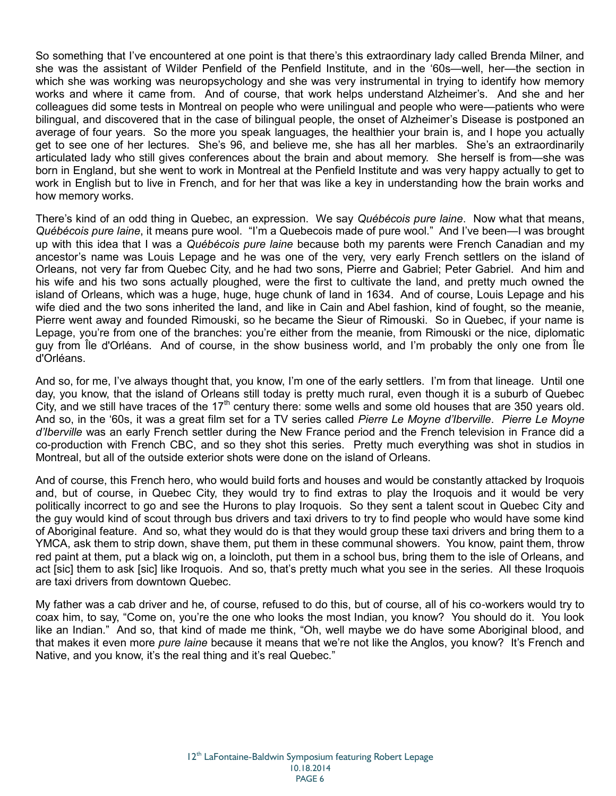So something that I've encountered at one point is that there's this extraordinary lady called Brenda Milner, and she was the assistant of Wilder Penfield of the Penfield Institute, and in the '60s—well, her—the section in which she was working was neuropsychology and she was very instrumental in trying to identify how memory works and where it came from. And of course, that work helps understand Alzheimer's. And she and her colleagues did some tests in Montreal on people who were unilingual and people who were—patients who were bilingual, and discovered that in the case of bilingual people, the onset of Alzheimer's Disease is postponed an average of four years. So the more you speak languages, the healthier your brain is, and I hope you actually get to see one of her lectures. She's 96, and believe me, she has all her marbles. She's an extraordinarily articulated lady who still gives conferences about the brain and about memory. She herself is from—she was born in England, but she went to work in Montreal at the Penfield Institute and was very happy actually to get to work in English but to live in French, and for her that was like a key in understanding how the brain works and how memory works.

There's kind of an odd thing in Quebec, an expression. We say *Québécois pure laine*. Now what that means, *Québécois pure laine*, it means pure wool. "I'm a Quebecois made of pure wool." And I've been—I was brought up with this idea that I was a *Québécois pure laine* because both my parents were French Canadian and my ancestor's name was Louis Lepage and he was one of the very, very early French settlers on the island of Orleans, not very far from Quebec City, and he had two sons, Pierre and Gabriel; Peter Gabriel. And him and his wife and his two sons actually ploughed, were the first to cultivate the land, and pretty much owned the island of Orleans, which was a huge, huge, huge chunk of land in 1634. And of course, Louis Lepage and his wife died and the two sons inherited the land, and like in Cain and Abel fashion, kind of fought, so the meanie, Pierre went away and founded Rimouski, so he became the Sieur of Rimouski. So in Quebec, if your name is Lepage, you're from one of the branches: you're either from the meanie, from Rimouski or the nice, diplomatic guy from Île d'Orléans. And of course, in the show business world, and I'm probably the only one from Île d'Orléans.

And so, for me, I've always thought that, you know, I'm one of the early settlers. I'm from that lineage. Until one day, you know, that the island of Orleans still today is pretty much rural, even though it is a suburb of Quebec City, and we still have traces of the  $17<sup>th</sup>$  century there: some wells and some old houses that are 350 years old. And so, in the '60s, it was a great film set for a TV series called *Pierre Le Moyne d'Iberville*. *Pierre Le Moyne d'Iberville* was an early French settler during the New France period and the French television in France did a co-production with French CBC, and so they shot this series. Pretty much everything was shot in studios in Montreal, but all of the outside exterior shots were done on the island of Orleans.

And of course, this French hero, who would build forts and houses and would be constantly attacked by Iroquois and, but of course, in Quebec City, they would try to find extras to play the Iroquois and it would be very politically incorrect to go and see the Hurons to play Iroquois. So they sent a talent scout in Quebec City and the guy would kind of scout through bus drivers and taxi drivers to try to find people who would have some kind of Aboriginal feature. And so, what they would do is that they would group these taxi drivers and bring them to a YMCA, ask them to strip down, shave them, put them in these communal showers. You know, paint them, throw red paint at them, put a black wig on, a loincloth, put them in a school bus, bring them to the isle of Orleans, and act [sic] them to ask [sic] like Iroquois. And so, that's pretty much what you see in the series. All these Iroquois are taxi drivers from downtown Quebec.

My father was a cab driver and he, of course, refused to do this, but of course, all of his co-workers would try to coax him, to say, "Come on, you're the one who looks the most Indian, you know? You should do it. You look like an Indian." And so, that kind of made me think, "Oh, well maybe we do have some Aboriginal blood, and that makes it even more *pure laine* because it means that we're not like the Anglos, you know? It's French and Native, and you know, it's the real thing and it's real Quebec."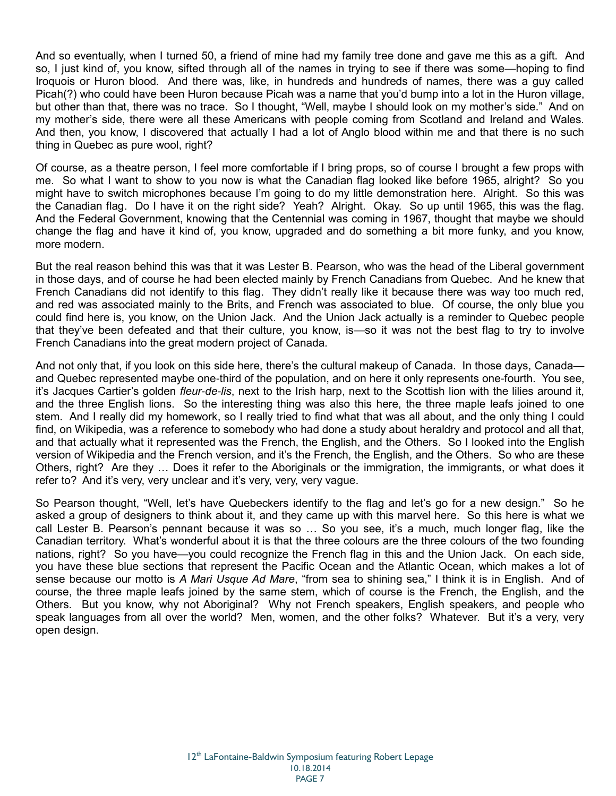And so eventually, when I turned 50, a friend of mine had my family tree done and gave me this as a gift. And so, I just kind of, you know, sifted through all of the names in trying to see if there was some—hoping to find Iroquois or Huron blood. And there was, like, in hundreds and hundreds of names, there was a guy called Picah(?) who could have been Huron because Picah was a name that you'd bump into a lot in the Huron village, but other than that, there was no trace. So I thought, "Well, maybe I should look on my mother's side." And on my mother's side, there were all these Americans with people coming from Scotland and Ireland and Wales. And then, you know, I discovered that actually I had a lot of Anglo blood within me and that there is no such thing in Quebec as pure wool, right?

Of course, as a theatre person, I feel more comfortable if I bring props, so of course I brought a few props with me. So what I want to show to you now is what the Canadian flag looked like before 1965, alright? So you might have to switch microphones because I'm going to do my little demonstration here. Alright. So this was the Canadian flag. Do I have it on the right side? Yeah? Alright. Okay. So up until 1965, this was the flag. And the Federal Government, knowing that the Centennial was coming in 1967, thought that maybe we should change the flag and have it kind of, you know, upgraded and do something a bit more funky, and you know, more modern.

But the real reason behind this was that it was Lester B. Pearson, who was the head of the Liberal government in those days, and of course he had been elected mainly by French Canadians from Quebec. And he knew that French Canadians did not identify to this flag. They didn't really like it because there was way too much red, and red was associated mainly to the Brits, and French was associated to blue. Of course, the only blue you could find here is, you know, on the Union Jack. And the Union Jack actually is a reminder to Quebec people that they've been defeated and that their culture, you know, is—so it was not the best flag to try to involve French Canadians into the great modern project of Canada.

And not only that, if you look on this side here, there's the cultural makeup of Canada. In those days, Canada and Quebec represented maybe one-third of the population, and on here it only represents one-fourth. You see, it's Jacques Cartier's golden *fleur-de-lis*, next to the Irish harp, next to the Scottish lion with the lilies around it, and the three English lions. So the interesting thing was also this here, the three maple leafs joined to one stem. And I really did my homework, so I really tried to find what that was all about, and the only thing I could find, on Wikipedia, was a reference to somebody who had done a study about heraldry and protocol and all that, and that actually what it represented was the French, the English, and the Others. So I looked into the English version of Wikipedia and the French version, and it's the French, the English, and the Others. So who are these Others, right? Are they … Does it refer to the Aboriginals or the immigration, the immigrants, or what does it refer to? And it's very, very unclear and it's very, very, very vague.

So Pearson thought, "Well, let's have Quebeckers identify to the flag and let's go for a new design." So he asked a group of designers to think about it, and they came up with this marvel here. So this here is what we call Lester B. Pearson's pennant because it was so … So you see, it's a much, much longer flag, like the Canadian territory. What's wonderful about it is that the three colours are the three colours of the two founding nations, right? So you have—you could recognize the French flag in this and the Union Jack. On each side, you have these blue sections that represent the Pacific Ocean and the Atlantic Ocean, which makes a lot of sense because our motto is *A Mari Usque Ad Mare*, "from sea to shining sea," I think it is in English. And of course, the three maple leafs joined by the same stem, which of course is the French, the English, and the Others. But you know, why not Aboriginal? Why not French speakers, English speakers, and people who speak languages from all over the world? Men, women, and the other folks? Whatever. But it's a very, very open design.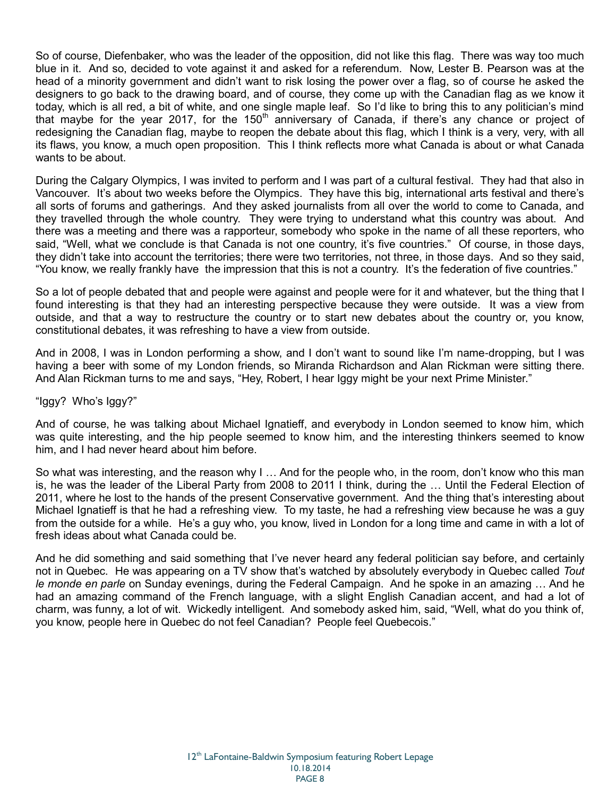So of course, Diefenbaker, who was the leader of the opposition, did not like this flag. There was way too much blue in it. And so, decided to vote against it and asked for a referendum. Now, Lester B. Pearson was at the head of a minority government and didn't want to risk losing the power over a flag, so of course he asked the designers to go back to the drawing board, and of course, they come up with the Canadian flag as we know it today, which is all red, a bit of white, and one single maple leaf. So I'd like to bring this to any politician's mind that maybe for the year 2017, for the 150<sup>th</sup> anniversary of Canada, if there's any chance or project of redesigning the Canadian flag, maybe to reopen the debate about this flag, which I think is a very, very, with all its flaws, you know, a much open proposition. This I think reflects more what Canada is about or what Canada wants to be about.

During the Calgary Olympics, I was invited to perform and I was part of a cultural festival. They had that also in Vancouver. It's about two weeks before the Olympics. They have this big, international arts festival and there's all sorts of forums and gatherings. And they asked journalists from all over the world to come to Canada, and they travelled through the whole country. They were trying to understand what this country was about. And there was a meeting and there was a rapporteur, somebody who spoke in the name of all these reporters, who said, "Well, what we conclude is that Canada is not one country, it's five countries." Of course, in those days, they didn't take into account the territories; there were two territories, not three, in those days. And so they said, "You know, we really frankly have the impression that this is not a country. It's the federation of five countries."

So a lot of people debated that and people were against and people were for it and whatever, but the thing that I found interesting is that they had an interesting perspective because they were outside. It was a view from outside, and that a way to restructure the country or to start new debates about the country or, you know, constitutional debates, it was refreshing to have a view from outside.

And in 2008, I was in London performing a show, and I don't want to sound like I'm name-dropping, but I was having a beer with some of my London friends, so Miranda Richardson and Alan Rickman were sitting there. And Alan Rickman turns to me and says, "Hey, Robert, I hear Iggy might be your next Prime Minister."

"Iggy? Who's Iggy?"

And of course, he was talking about Michael Ignatieff, and everybody in London seemed to know him, which was quite interesting, and the hip people seemed to know him, and the interesting thinkers seemed to know him, and I had never heard about him before.

So what was interesting, and the reason why I … And for the people who, in the room, don't know who this man is, he was the leader of the Liberal Party from 2008 to 2011 I think, during the … Until the Federal Election of 2011, where he lost to the hands of the present Conservative government. And the thing that's interesting about Michael Ignatieff is that he had a refreshing view. To my taste, he had a refreshing view because he was a guy from the outside for a while. He's a guy who, you know, lived in London for a long time and came in with a lot of fresh ideas about what Canada could be.

And he did something and said something that I've never heard any federal politician say before, and certainly not in Quebec. He was appearing on a TV show that's watched by absolutely everybody in Quebec called *Tout le monde en parle* on Sunday evenings, during the Federal Campaign. And he spoke in an amazing … And he had an amazing command of the French language, with a slight English Canadian accent, and had a lot of charm, was funny, a lot of wit. Wickedly intelligent. And somebody asked him, said, "Well, what do you think of, you know, people here in Quebec do not feel Canadian? People feel Quebecois."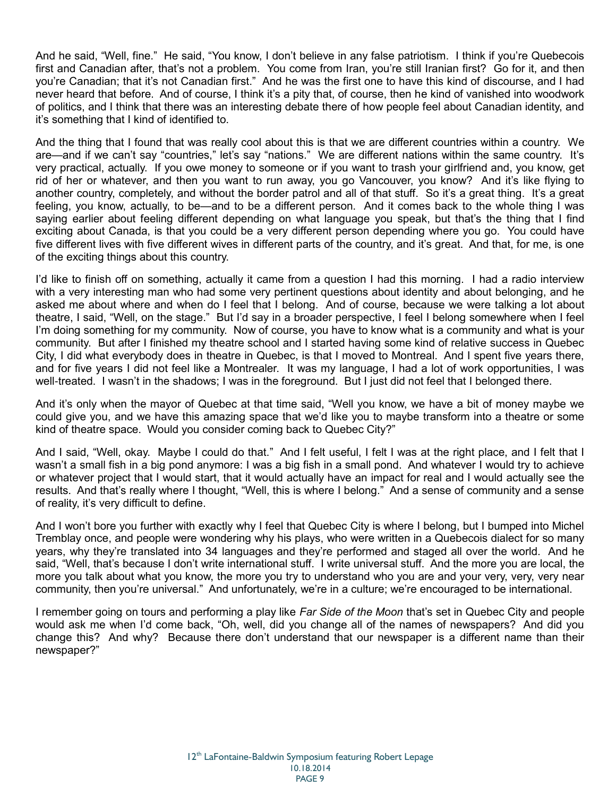And he said, "Well, fine." He said, "You know, I don't believe in any false patriotism. I think if you're Quebecois first and Canadian after, that's not a problem. You come from Iran, you're still Iranian first? Go for it, and then you're Canadian; that it's not Canadian first." And he was the first one to have this kind of discourse, and I had never heard that before. And of course, I think it's a pity that, of course, then he kind of vanished into woodwork of politics, and I think that there was an interesting debate there of how people feel about Canadian identity, and it's something that I kind of identified to.

And the thing that I found that was really cool about this is that we are different countries within a country. We are—and if we can't say "countries," let's say "nations." We are different nations within the same country. It's very practical, actually. If you owe money to someone or if you want to trash your girlfriend and, you know, get rid of her or whatever, and then you want to run away, you go Vancouver, you know? And it's like flying to another country, completely, and without the border patrol and all of that stuff. So it's a great thing. It's a great feeling, you know, actually, to be—and to be a different person. And it comes back to the whole thing I was saying earlier about feeling different depending on what language you speak, but that's the thing that I find exciting about Canada, is that you could be a very different person depending where you go. You could have five different lives with five different wives in different parts of the country, and it's great. And that, for me, is one of the exciting things about this country.

I'd like to finish off on something, actually it came from a question I had this morning. I had a radio interview with a very interesting man who had some very pertinent questions about identity and about belonging, and he asked me about where and when do I feel that I belong. And of course, because we were talking a lot about theatre, I said, "Well, on the stage." But I'd say in a broader perspective, I feel I belong somewhere when I feel I'm doing something for my community. Now of course, you have to know what is a community and what is your community. But after I finished my theatre school and I started having some kind of relative success in Quebec City, I did what everybody does in theatre in Quebec, is that I moved to Montreal. And I spent five years there, and for five years I did not feel like a Montrealer. It was my language, I had a lot of work opportunities, I was well-treated. I wasn't in the shadows; I was in the foreground. But I just did not feel that I belonged there.

And it's only when the mayor of Quebec at that time said, "Well you know, we have a bit of money maybe we could give you, and we have this amazing space that we'd like you to maybe transform into a theatre or some kind of theatre space. Would you consider coming back to Quebec City?"

And I said, "Well, okay. Maybe I could do that." And I felt useful, I felt I was at the right place, and I felt that I wasn't a small fish in a big pond anymore: I was a big fish in a small pond. And whatever I would try to achieve or whatever project that I would start, that it would actually have an impact for real and I would actually see the results. And that's really where I thought, "Well, this is where I belong." And a sense of community and a sense of reality, it's very difficult to define.

And I won't bore you further with exactly why I feel that Quebec City is where I belong, but I bumped into Michel Tremblay once, and people were wondering why his plays, who were written in a Quebecois dialect for so many years, why they're translated into 34 languages and they're performed and staged all over the world. And he said, "Well, that's because I don't write international stuff. I write universal stuff. And the more you are local, the more you talk about what you know, the more you try to understand who you are and your very, very, very near community, then you're universal." And unfortunately, we're in a culture; we're encouraged to be international.

I remember going on tours and performing a play like *Far Side of the Moon* that's set in Quebec City and people would ask me when I'd come back, "Oh, well, did you change all of the names of newspapers? And did you change this? And why? Because there don't understand that our newspaper is a different name than their newspaper?"